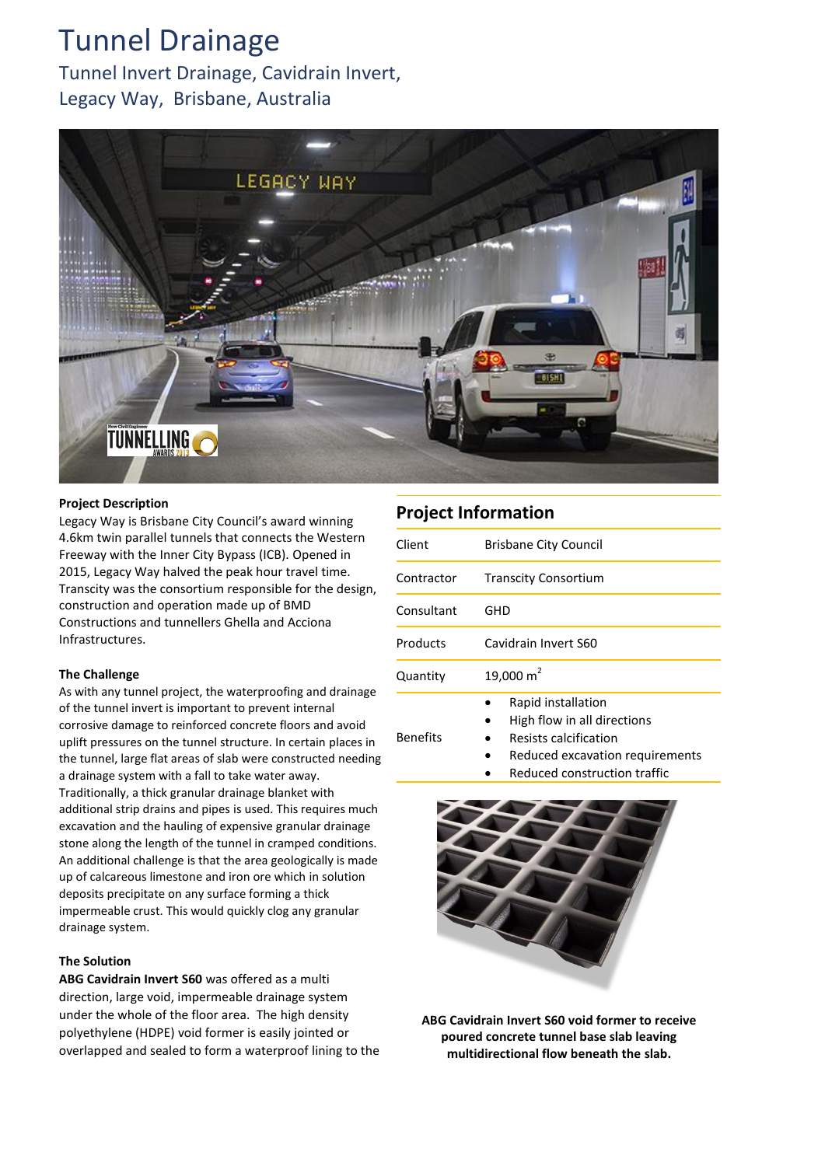# Tunnel Drainage

Tunnel Invert Drainage, Cavidrain Invert, Legacy Way, Brisbane, Australia



#### **Project Description**

Legacy Way is Brisbane City Council's award winning 4.6km twin parallel tunnels that connects the Western Freeway with the Inner City Bypass (ICB). Opened in 2015, Legacy Way halved the peak hour travel time. Transcity was the consortium responsible for the design, construction and operation made up of BMD Constructions and tunnellers Ghella and Acciona Infrastructures.

#### **The Challenge**

As with any tunnel project, the waterproofing and drainage of the tunnel invert is important to prevent internal corrosive damage to reinforced concrete floors and avoid uplift pressures on the tunnel structure. In certain places in the tunnel, large flat areas of slab were constructed needing a drainage system with a fall to take water away. Traditionally, a thick granular drainage blanket with additional strip drains and pipes is used. This requires much excavation and the hauling of expensive granular drainage stone along the length of the tunnel in cramped conditions. An additional challenge is that the area geologically is made up of calcareous limestone and iron ore which in solution deposits precipitate on any surface forming a thick impermeable crust. This would quickly clog any granular drainage system.

### **The Solution**

**ABG Cavidrain Invert S60** was offered as a multi direction, large void, impermeable drainage system under the whole of the floor area. The high density polyethylene (HDPE) void former is easily jointed or overlapped and sealed to form a waterproof lining to the

## **Project Information**

| Client          | <b>Brisbane City Council</b>                                                                                                                         |
|-----------------|------------------------------------------------------------------------------------------------------------------------------------------------------|
| Contractor      | <b>Transcity Consortium</b>                                                                                                                          |
| Consultant      | GHD                                                                                                                                                  |
| Products        | Cavidrain Invert S60                                                                                                                                 |
| Quantity        | 19,000 $m2$                                                                                                                                          |
| <b>Benefits</b> | Rapid installation<br>High flow in all directions<br>Resists calcification<br>Reduced excavation requirements<br><b>Doduced construction traffic</b> |





**ABG Cavidrain Invert S60 void former to receive poured concrete tunnel base slab leaving multidirectional flow beneath the slab.**